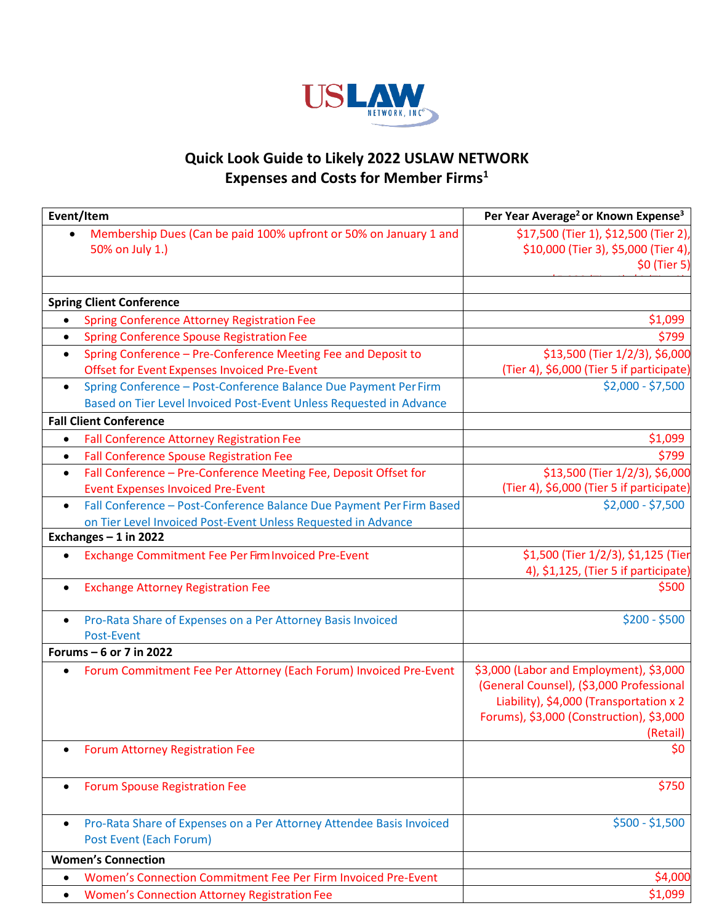

## **Quick Look Guide to Likely 2022 USLAW NETWORK Expenses and Costs for Member Firms<sup>1</sup>**

| Event/Item                                                                                                                                           | Per Year Average <sup>2</sup> or Known Expense <sup>3</sup>                                                                                                                            |
|------------------------------------------------------------------------------------------------------------------------------------------------------|----------------------------------------------------------------------------------------------------------------------------------------------------------------------------------------|
| Membership Dues (Can be paid 100% upfront or 50% on January 1 and<br>50% on July 1.)                                                                 | \$17,500 (Tier 1), \$12,500 (Tier 2),<br>\$10,000 (Tier 3), \$5,000 (Tier 4),<br>\$0 (Tier 5)                                                                                          |
| <b>Spring Client Conference</b>                                                                                                                      |                                                                                                                                                                                        |
| <b>Spring Conference Attorney Registration Fee</b><br>$\bullet$                                                                                      | \$1,099                                                                                                                                                                                |
| <b>Spring Conference Spouse Registration Fee</b><br>$\bullet$                                                                                        | \$799                                                                                                                                                                                  |
| Spring Conference - Pre-Conference Meeting Fee and Deposit to<br>$\bullet$<br><b>Offset for Event Expenses Invoiced Pre-Event</b>                    | \$13,500 (Tier 1/2/3), \$6,000<br>(Tier 4), \$6,000 (Tier 5 if participate)                                                                                                            |
| Spring Conference - Post-Conference Balance Due Payment Per Firm<br>$\bullet$<br>Based on Tier Level Invoiced Post-Event Unless Requested in Advance | $$2,000 - $7,500$                                                                                                                                                                      |
| <b>Fall Client Conference</b>                                                                                                                        |                                                                                                                                                                                        |
| <b>Fall Conference Attorney Registration Fee</b><br>$\bullet$                                                                                        | \$1,099                                                                                                                                                                                |
| <b>Fall Conference Spouse Registration Fee</b><br>$\bullet$                                                                                          | \$799                                                                                                                                                                                  |
| Fall Conference - Pre-Conference Meeting Fee, Deposit Offset for<br>$\bullet$<br><b>Event Expenses Invoiced Pre-Event</b>                            | \$13,500 (Tier 1/2/3), \$6,000<br>(Tier 4), \$6,000 (Tier 5 if participate)                                                                                                            |
| Fall Conference - Post-Conference Balance Due Payment Per Firm Based<br>on Tier Level Invoiced Post-Event Unless Requested in Advance                | $$2,000 - $7,500$                                                                                                                                                                      |
| Exchanges $-1$ in 2022                                                                                                                               |                                                                                                                                                                                        |
| Exchange Commitment Fee Per Firm Invoiced Pre-Event                                                                                                  | \$1,500 (Tier 1/2/3), \$1,125 (Tier<br>4), \$1,125, (Tier 5 if participate)                                                                                                            |
| <b>Exchange Attorney Registration Fee</b><br>$\bullet$                                                                                               | \$500                                                                                                                                                                                  |
| Pro-Rata Share of Expenses on a Per Attorney Basis Invoiced<br>Post-Event                                                                            | $$200 - $500$                                                                                                                                                                          |
| Forums - 6 or 7 in 2022                                                                                                                              |                                                                                                                                                                                        |
| Forum Commitment Fee Per Attorney (Each Forum) Invoiced Pre-Event                                                                                    | \$3,000 (Labor and Employment), \$3,000<br>(General Counsel), (\$3,000 Professional<br>Liability), \$4,000 (Transportation x 2<br>Forums), \$3,000 (Construction), \$3,000<br>(Retail) |
| <b>Forum Attorney Registration Fee</b>                                                                                                               | \$0                                                                                                                                                                                    |
| <b>Forum Spouse Registration Fee</b>                                                                                                                 | \$750                                                                                                                                                                                  |
| Pro-Rata Share of Expenses on a Per Attorney Attendee Basis Invoiced<br>Post Event (Each Forum)                                                      | $$500 - $1,500$                                                                                                                                                                        |
| <b>Women's Connection</b>                                                                                                                            |                                                                                                                                                                                        |
| Women's Connection Commitment Fee Per Firm Invoiced Pre-Event                                                                                        | \$4,000                                                                                                                                                                                |
| <b>Women's Connection Attorney Registration Fee</b><br>$\bullet$                                                                                     | \$1,099                                                                                                                                                                                |